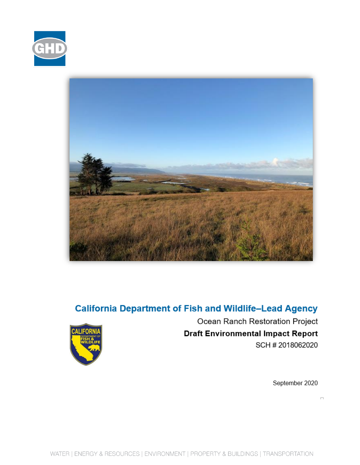



## **California Department of Fish and Wildlife-Lead Agency**



Ocean Ranch Restoration Project **Draft Environmental Impact Report** SCH # 2018062020

September 2020

 $\Box$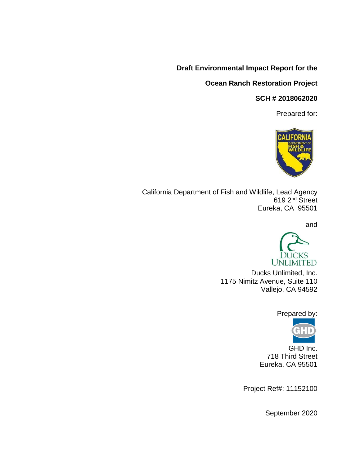### **Draft Environmental Impact Report for the**

### **Ocean Ranch Restoration Project**

#### **SCH # 2018062020**

Prepared for:



California Department of Fish and Wildlife, Lead Agency 619 2nd Street Eureka, CA 95501

and



Ducks Unlimited, Inc. 1175 Nimitz Avenue, Suite 110 Vallejo, CA 94592

Prepared by:



GHD Inc. 718 Third Street Eureka, CA 95501

Project Ref#: 11152100

September 2020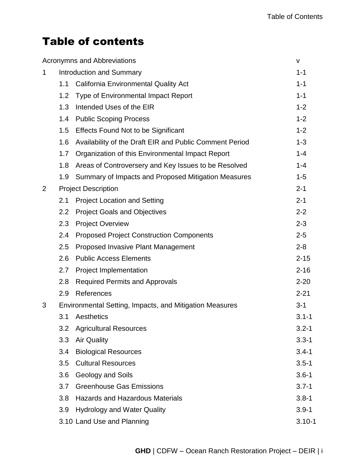# Table of contents

|   |                                                         | <b>Acronymns and Abbreviations</b>                      | v          |
|---|---------------------------------------------------------|---------------------------------------------------------|------------|
| 1 |                                                         | Introduction and Summary                                | $1 - 1$    |
|   | 1.1                                                     | <b>California Environmental Quality Act</b>             | $1 - 1$    |
|   | 1.2                                                     | <b>Type of Environmental Impact Report</b>              | $1 - 1$    |
|   | 1.3                                                     | Intended Uses of the EIR                                | $1 - 2$    |
|   | 1.4                                                     | <b>Public Scoping Process</b>                           | $1 - 2$    |
|   | 1.5                                                     | <b>Effects Found Not to be Significant</b>              | $1 - 2$    |
|   | 1.6                                                     | Availability of the Draft EIR and Public Comment Period | $1 - 3$    |
|   | 1.7                                                     | Organization of this Environmental Impact Report        | $1 - 4$    |
|   | 1.8                                                     | Areas of Controversery and Key Issues to be Resolved    | $1 - 4$    |
|   | 1.9                                                     | Summary of Impacts and Proposed Mitigation Measures     | $1 - 5$    |
| 2 | <b>Project Description</b>                              |                                                         | $2 - 1$    |
|   | 2.1                                                     | <b>Project Location and Setting</b>                     | $2 - 1$    |
|   | 2.2                                                     | <b>Project Goals and Objectives</b>                     | $2 - 2$    |
|   | 2.3                                                     | <b>Project Overview</b>                                 | $2 - 3$    |
|   | 2.4                                                     | <b>Proposed Project Construction Components</b>         | $2 - 5$    |
|   | 2.5                                                     | Proposed Invasive Plant Management                      | $2 - 8$    |
|   | 2.6                                                     | <b>Public Access Elements</b>                           | $2 - 15$   |
|   | 2.7                                                     | Project Implementation                                  | $2 - 16$   |
|   | 2.8                                                     | <b>Required Permits and Approvals</b>                   | $2 - 20$   |
|   | 2.9                                                     | References                                              | $2 - 21$   |
| 3 | Environmental Setting, Impacts, and Mitigation Measures |                                                         | $3 - 1$    |
|   | 3.1                                                     | Aesthetics                                              | $3.1 - 1$  |
|   | 3.2                                                     | <b>Agricultural Resources</b>                           | $3.2 - 1$  |
|   | 3.3                                                     | <b>Air Quality</b>                                      | $3.3 - 1$  |
|   | 3.4                                                     | <b>Biological Resources</b>                             | $3.4 - 1$  |
|   | 3.5                                                     | <b>Cultural Resources</b>                               | $3.5 - 1$  |
|   | 3.6                                                     | Geology and Soils                                       | $3.6 - 1$  |
|   | 3.7                                                     | <b>Greenhouse Gas Emissions</b>                         | $3.7 - 1$  |
|   | 3.8                                                     | <b>Hazards and Hazardous Materials</b>                  | $3.8 - 1$  |
|   | 3.9                                                     | <b>Hydrology and Water Quality</b>                      | $3.9 - 1$  |
|   |                                                         | 3.10 Land Use and Planning                              | $3.10 - 1$ |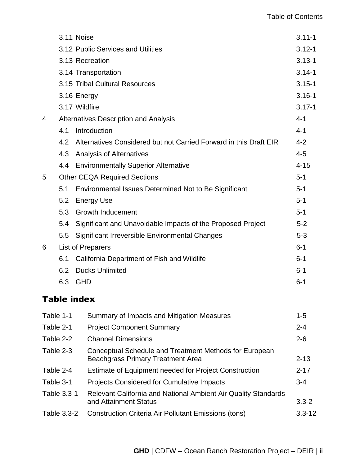|   |     | 3.11 Noise                                                        | $3.11 - 1$ |
|---|-----|-------------------------------------------------------------------|------------|
|   |     | 3.12 Public Services and Utilities                                | $3.12 - 1$ |
|   |     | 3.13 Recreation                                                   | $3.13 - 1$ |
|   |     | 3.14 Transportation                                               | $3.14 - 1$ |
|   |     | 3.15 Tribal Cultural Resources                                    | $3.15 - 1$ |
|   |     | 3.16 Energy                                                       | $3.16 - 1$ |
|   |     | 3.17 Wildfire                                                     | $3.17 - 1$ |
| 4 |     | Alternatives Description and Analysis                             | $4 - 1$    |
|   | 4.1 | Introduction                                                      | $4 - 1$    |
|   | 4.2 | Alternatives Considered but not Carried Forward in this Draft EIR | $4 - 2$    |
|   | 4.3 | Analysis of Alternatives                                          | $4 - 5$    |
|   | 4.4 | <b>Environmentally Superior Alternative</b>                       | $4 - 15$   |
| 5 |     | <b>Other CEQA Required Sections</b>                               | $5 - 1$    |
|   | 5.1 | Environmental Issues Determined Not to Be Significant             | $5 - 1$    |
|   | 5.2 | <b>Energy Use</b>                                                 | $5 - 1$    |
|   | 5.3 | <b>Growth Inducement</b>                                          | $5 - 1$    |
|   | 5.4 | Significant and Unavoidable Impacts of the Proposed Project       | $5 - 2$    |
|   | 5.5 | Significant Irreversible Environmental Changes                    | $5 - 3$    |
| 6 |     | <b>List of Preparers</b>                                          | $6 - 1$    |
|   | 6.1 | California Department of Fish and Wildlife                        | $6 - 1$    |
|   | 6.2 | <b>Ducks Unlimited</b>                                            | $6 - 1$    |
|   | 6.3 | <b>GHD</b>                                                        | $6 - 1$    |
|   |     |                                                                   |            |

## Table index

| Table 1-1   | Summary of Impacts and Mitigation Measures                                                         | $1 - 5$    |
|-------------|----------------------------------------------------------------------------------------------------|------------|
| Table 2-1   | <b>Project Component Summary</b>                                                                   | $2 - 4$    |
| Table 2-2   | <b>Channel Dimensions</b>                                                                          | $2 - 6$    |
| Table 2-3   | Conceptual Schedule and Treatment Methods for European<br><b>Beachgrass Primary Treatment Area</b> | $2 - 13$   |
| Table 2-4   | <b>Estimate of Equipment needed for Project Construction</b>                                       | $2 - 17$   |
| Table 3-1   | <b>Projects Considered for Cumulative Impacts</b>                                                  | $3 - 4$    |
| Table 3.3-1 | Relevant California and National Ambient Air Quality Standards<br>and Attainment Status            | $3.3 - 2$  |
| Table 3.3-2 | <b>Construction Criteria Air Pollutant Emissions (tons)</b>                                        | $3.3 - 12$ |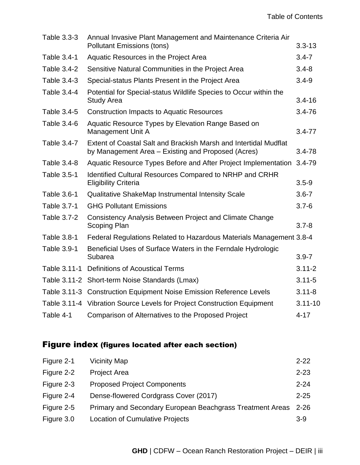| Table 3.3-3  | Annual Invasive Plant Management and Maintenance Criteria Air<br><b>Pollutant Emissions (tons)</b>                     | $3.3 - 13$  |
|--------------|------------------------------------------------------------------------------------------------------------------------|-------------|
| Table 3.4-1  | Aquatic Resources in the Project Area                                                                                  | $3.4 - 7$   |
| Table 3.4-2  | Sensitive Natural Communities in the Project Area                                                                      | $3.4 - 8$   |
| Table 3.4-3  | Special-status Plants Present in the Project Area                                                                      | $3.4 - 9$   |
| Table 3.4-4  | Potential for Special-status Wildlife Species to Occur within the<br><b>Study Area</b>                                 | $3.4 - 16$  |
| Table 3.4-5  | <b>Construction Impacts to Aquatic Resources</b>                                                                       | $3.4 - 76$  |
| Table 3.4-6  | Aquatic Resource Types by Elevation Range Based on<br>Management Unit A                                                | $3.4 - 77$  |
| Table 3.4-7  | Extent of Coastal Salt and Brackish Marsh and Intertidal Mudflat<br>by Management Area – Existing and Proposed (Acres) | $3.4 - 78$  |
| Table 3.4-8  | Aquatic Resource Types Before and After Project Implementation                                                         | $3.4 - 79$  |
| Table 3.5-1  | Identified Cultural Resources Compared to NRHP and CRHR<br><b>Eligibility Criteria</b>                                 | $3.5 - 9$   |
| Table 3.6-1  | Qualitative ShakeMap Instrumental Intensity Scale                                                                      | $3.6 - 7$   |
| Table 3.7-1  | <b>GHG Pollutant Emissions</b>                                                                                         | $3.7 - 6$   |
| Table 3.7-2  | Consistency Analysis Between Project and Climate Change<br><b>Scoping Plan</b>                                         | $3.7 - 8$   |
| Table 3.8-1  | Federal Regulations Related to Hazardous Materials Management 3.8-4                                                    |             |
| Table 3.9-1  | Beneficial Uses of Surface Waters in the Ferndale Hydrologic<br>Subarea                                                | $3.9 - 7$   |
| Table 3.11-1 | <b>Definitions of Acoustical Terms</b>                                                                                 | $3.11 - 2$  |
| Table 3.11-2 | Short-term Noise Standards (Lmax)                                                                                      | $3.11 - 5$  |
| Table 3.11-3 | <b>Construction Equipment Noise Emission Reference Levels</b>                                                          | $3.11 - 8$  |
|              | Table 3.11-4 Vibration Source Levels for Project Construction Equipment                                                | $3.11 - 10$ |
| Table 4-1    | Comparison of Alternatives to the Proposed Project                                                                     | $4 - 17$    |

## Figure index (figures located after each section)

| Figure 2-1 | <b>Vicinity Map</b>                                       | $2 - 22$ |
|------------|-----------------------------------------------------------|----------|
| Figure 2-2 | <b>Project Area</b>                                       | $2 - 23$ |
| Figure 2-3 | <b>Proposed Project Components</b>                        | $2 - 24$ |
| Figure 2-4 | Dense-flowered Cordgrass Cover (2017)                     | $2 - 25$ |
| Figure 2-5 | Primary and Secondary European Beachgrass Treatment Areas | $2 - 26$ |
| Figure 3.0 | Location of Cumulative Projects                           | 3-9      |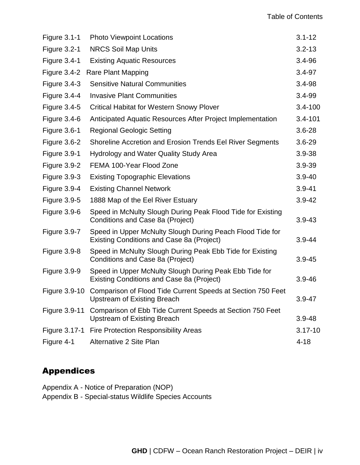| <b>Figure 3.1-1</b> | <b>Photo Viewpoint Locations</b>                                                                                | $3.1 - 12$  |
|---------------------|-----------------------------------------------------------------------------------------------------------------|-------------|
| <b>Figure 3.2-1</b> | <b>NRCS Soil Map Units</b>                                                                                      | $3.2 - 13$  |
| <b>Figure 3.4-1</b> | <b>Existing Aquatic Resources</b>                                                                               | 3.4-96      |
| Figure $3.4-2$      | <b>Rare Plant Mapping</b>                                                                                       | 3.4-97      |
| Figure $3.4-3$      | <b>Sensitive Natural Communities</b>                                                                            | 3.4-98      |
| Figure 3.4-4        | <b>Invasive Plant Communities</b>                                                                               | 3.4-99      |
| <b>Figure 3.4-5</b> | <b>Critical Habitat for Western Snowy Plover</b>                                                                | $3.4 - 100$ |
| Figure $3.4-6$      | Anticipated Aquatic Resources After Project Implementation                                                      | $3.4 - 101$ |
| <b>Figure 3.6-1</b> | <b>Regional Geologic Setting</b>                                                                                | $3.6 - 28$  |
| Figure 3.6-2        | Shoreline Accretion and Erosion Trends Eel River Segments                                                       | $3.6 - 29$  |
| Figure 3.9-1        | <b>Hydrology and Water Quality Study Area</b>                                                                   | 3.9-38      |
| <b>Figure 3.9-2</b> | FEMA 100-Year Flood Zone                                                                                        | 3.9-39      |
| <b>Figure 3.9-3</b> | <b>Existing Topographic Elevations</b>                                                                          | $3.9 - 40$  |
| Figure 3.9-4        | <b>Existing Channel Network</b>                                                                                 | $3.9 - 41$  |
| <b>Figure 3.9-5</b> | 1888 Map of the Eel River Estuary                                                                               | $3.9 - 42$  |
| <b>Figure 3.9-6</b> | Speed in McNulty Slough During Peak Flood Tide for Existing<br>Conditions and Case 8a (Project)                 | $3.9 - 43$  |
| Figure 3.9-7        | Speed in Upper McNulty Slough During Peach Flood Tide for<br>Existing Conditions and Case 8a (Project)          | $3.9 - 44$  |
| <b>Figure 3.9-8</b> | Speed in McNulty Slough During Peak Ebb Tide for Existing<br>Conditions and Case 8a (Project)                   | $3.9 - 45$  |
| Figure 3.9-9        | Speed in Upper McNulty Slough During Peak Ebb Tide for<br>Existing Conditions and Case 8a (Project)             | $3.9 - 46$  |
|                     | Figure 3.9-10 Comparison of Flood Tide Current Speeds at Section 750 Feet<br><b>Upstream of Existing Breach</b> | $3.9 - 47$  |
| Figure 3.9-11       | Comparison of Ebb Tide Current Speeds at Section 750 Feet<br><b>Upstream of Existing Breach</b>                 | $3.9 - 48$  |
|                     | Figure 3.17-1 Fire Protection Responsibility Areas                                                              | $3.17 - 10$ |
| Figure 4-1          | Alternative 2 Site Plan                                                                                         | $4 - 18$    |
|                     |                                                                                                                 |             |

### Appendices

Appendix A - Notice of Preparation (NOP)

Appendix B - Special-status Wildlife Species Accounts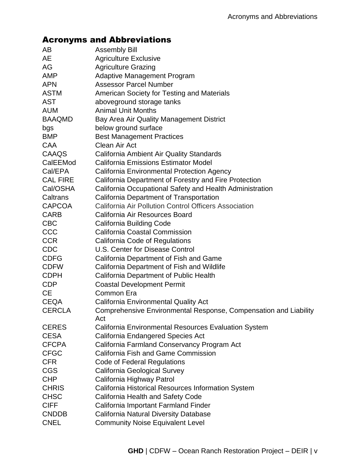## Acronyms and Abbreviations

| AB              | <b>Assembly Bill</b>                                                    |
|-----------------|-------------------------------------------------------------------------|
| <b>AE</b>       | <b>Agriculture Exclusive</b>                                            |
| AG              | <b>Agriculture Grazing</b>                                              |
| <b>AMP</b>      | <b>Adaptive Management Program</b>                                      |
| <b>APN</b>      | <b>Assessor Parcel Number</b>                                           |
| <b>ASTM</b>     | American Society for Testing and Materials                              |
| <b>AST</b>      | aboveground storage tanks                                               |
| <b>AUM</b>      | <b>Animal Unit Months</b>                                               |
| <b>BAAQMD</b>   | Bay Area Air Quality Management District                                |
| bgs             | below ground surface                                                    |
| <b>BMP</b>      | <b>Best Management Practices</b>                                        |
| <b>CAA</b>      | Clean Air Act                                                           |
| CAAQS           | <b>California Ambient Air Quality Standards</b>                         |
| CalEEMod        | <b>California Emissions Estimator Model</b>                             |
| Cal/EPA         | California Environmental Protection Agency                              |
| <b>CAL FIRE</b> | California Department of Forestry and Fire Protection                   |
| Cal/OSHA        | California Occupational Safety and Health Administration                |
| Caltrans        | California Department of Transportation                                 |
| <b>CAPCOA</b>   | California Air Pollution Control Officers Association                   |
| <b>CARB</b>     | California Air Resources Board                                          |
| <b>CBC</b>      | <b>California Building Code</b>                                         |
| <b>CCC</b>      | <b>California Coastal Commission</b>                                    |
| <b>CCR</b>      | California Code of Regulations                                          |
| <b>CDC</b>      | <b>U.S. Center for Disease Control</b>                                  |
| <b>CDFG</b>     | California Department of Fish and Game                                  |
| <b>CDFW</b>     | California Department of Fish and Wildlife                              |
| <b>CDPH</b>     | California Department of Public Health                                  |
| <b>CDP</b>      | <b>Coastal Development Permit</b>                                       |
| <b>CE</b>       | Common Era                                                              |
| <b>CEQA</b>     | <b>California Environmental Quality Act</b>                             |
| <b>CERCLA</b>   | Comprehensive Environmental Response, Compensation and Liability<br>Act |
| <b>CERES</b>    | <b>California Environmental Resources Evaluation System</b>             |
| <b>CESA</b>     | California Endangered Species Act                                       |
| <b>CFCPA</b>    | California Farmland Conservancy Program Act                             |
| <b>CFGC</b>     | <b>California Fish and Game Commission</b>                              |
| <b>CFR</b>      | Code of Federal Regulations                                             |
| <b>CGS</b>      | California Geological Survey                                            |
| <b>CHP</b>      | California Highway Patrol                                               |
| <b>CHRIS</b>    | California Historical Resources Information System                      |
| <b>CHSC</b>     | <b>California Health and Safety Code</b>                                |
| <b>CIFF</b>     | California Important Farmland Finder                                    |
| <b>CNDDB</b>    | <b>California Natural Diversity Database</b>                            |
| <b>CNEL</b>     | <b>Community Noise Equivalent Level</b>                                 |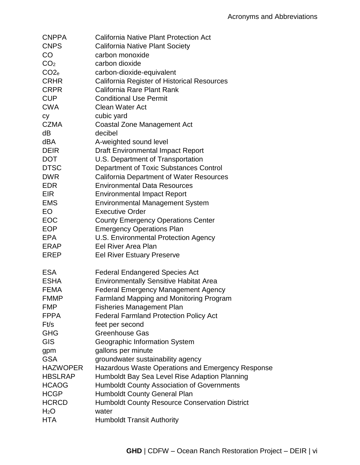| <b>CNPPA</b>     | California Native Plant Protection Act             |
|------------------|----------------------------------------------------|
| <b>CNPS</b>      | <b>California Native Plant Society</b>             |
| CO               | carbon monoxide                                    |
| CO <sub>2</sub>  | carbon dioxide                                     |
| CO <sub>2</sub>  | carbon-dioxide-equivalent                          |
| <b>CRHR</b>      | <b>California Register of Historical Resources</b> |
| <b>CRPR</b>      | California Rare Plant Rank                         |
| <b>CUP</b>       | <b>Conditional Use Permit</b>                      |
| <b>CWA</b>       | Clean Water Act                                    |
| сy               | cubic yard                                         |
| CZMA             | <b>Coastal Zone Management Act</b>                 |
| dB               | decibel                                            |
| dBA              | A-weighted sound level                             |
| <b>DEIR</b>      | <b>Draft Environmental Impact Report</b>           |
| <b>DOT</b>       | U.S. Department of Transportation                  |
| <b>DTSC</b>      | Department of Toxic Substances Control             |
| <b>DWR</b>       | <b>California Department of Water Resources</b>    |
| <b>EDR</b>       | <b>Environmental Data Resources</b>                |
| <b>EIR</b>       | <b>Environmental Impact Report</b>                 |
| <b>EMS</b>       | <b>Environmental Management System</b>             |
| EO               | <b>Executive Order</b>                             |
| <b>EOC</b>       | <b>County Emergency Operations Center</b>          |
| <b>EOP</b>       | <b>Emergency Operations Plan</b>                   |
| <b>EPA</b>       | U.S. Environmental Protection Agency               |
| ERAP             | Eel River Area Plan                                |
| EREP             | <b>Eel River Estuary Preserve</b>                  |
| <b>ESA</b>       | <b>Federal Endangered Species Act</b>              |
| <b>ESHA</b>      | <b>Environmentally Sensitive Habitat Area</b>      |
| <b>FEMA</b>      | <b>Federal Emergency Management Agency</b>         |
| <b>FMMP</b>      | <b>Farmland Mapping and Monitoring Program</b>     |
| <b>FMP</b>       | <b>Fisheries Management Plan</b>                   |
| <b>FPPA</b>      | <b>Federal Farmland Protection Policy Act</b>      |
| Ft/s             | feet per second                                    |
| <b>GHG</b>       | <b>Greenhouse Gas</b>                              |
| <b>GIS</b>       | Geographic Information System                      |
| gpm              | gallons per minute                                 |
| <b>GSA</b>       | groundwater sustainability agency                  |
| <b>HAZWOPER</b>  | Hazardous Waste Operations and Emergency Response  |
| <b>HBSLRAP</b>   | Humboldt Bay Sea Level Rise Adaption Planning      |
| <b>HCAOG</b>     | <b>Humboldt County Association of Governments</b>  |
| <b>HCGP</b>      | <b>Humboldt County General Plan</b>                |
| <b>HCRCD</b>     | Humboldt County Resource Conservation District     |
| H <sub>2</sub> O | water                                              |
| <b>HTA</b>       | <b>Humboldt Transit Authority</b>                  |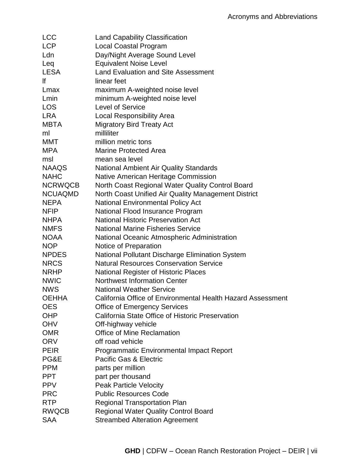| <b>LCC</b>     | <b>Land Capability Classification</b>                       |
|----------------|-------------------------------------------------------------|
| <b>LCP</b>     | Local Coastal Program                                       |
| Ldn            | Day/Night Average Sound Level                               |
| Leq            | <b>Equivalent Noise Level</b>                               |
| <b>LESA</b>    | <b>Land Evaluation and Site Assessment</b>                  |
| lf             | linear feet                                                 |
| Lmax           | maximum A-weighted noise level                              |
| Lmin           | minimum A-weighted noise level                              |
| LOS            | <b>Level of Service</b>                                     |
| <b>LRA</b>     | <b>Local Responsibility Area</b>                            |
| <b>MBTA</b>    | <b>Migratory Bird Treaty Act</b>                            |
| ml             | milliliter                                                  |
| <b>MMT</b>     | million metric tons                                         |
| <b>MPA</b>     | <b>Marine Protected Area</b>                                |
| msl            | mean sea level                                              |
| <b>NAAQS</b>   | <b>National Ambient Air Quality Standards</b>               |
| <b>NAHC</b>    | Native American Heritage Commission                         |
| <b>NCRWQCB</b> | North Coast Regional Water Quality Control Board            |
| <b>NCUAQMD</b> | North Coast Unified Air Quality Management District         |
| <b>NEPA</b>    | <b>National Environmental Policy Act</b>                    |
| <b>NFIP</b>    | National Flood Insurance Program                            |
| <b>NHPA</b>    | <b>National Historic Preservation Act</b>                   |
| <b>NMFS</b>    | <b>National Marine Fisheries Service</b>                    |
| <b>NOAA</b>    | National Oceanic Atmospheric Administration                 |
| <b>NOP</b>     | Notice of Preparation                                       |
| <b>NPDES</b>   | National Pollutant Discharge Elimination System             |
| <b>NRCS</b>    | <b>Natural Resources Conservation Service</b>               |
| <b>NRHP</b>    | <b>National Register of Historic Places</b>                 |
| <b>NWIC</b>    | <b>Northwest Information Center</b>                         |
| <b>NWS</b>     | <b>National Weather Service</b>                             |
| <b>OEHHA</b>   | California Office of Environmental Health Hazard Assessment |
| <b>OES</b>     | <b>Office of Emergency Services</b>                         |
| <b>OHP</b>     | California State Office of Historic Preservation            |
| <b>OHV</b>     | Off-highway vehicle                                         |
| <b>OMR</b>     | <b>Office of Mine Reclamation</b>                           |
| <b>ORV</b>     | off road vehicle                                            |
| <b>PEIR</b>    | <b>Programmatic Environmental Impact Report</b>             |
| PG&E           | Pacific Gas & Electric                                      |
| <b>PPM</b>     | parts per million                                           |
| <b>PPT</b>     | part per thousand                                           |
| <b>PPV</b>     | <b>Peak Particle Velocity</b>                               |
| <b>PRC</b>     | <b>Public Resources Code</b>                                |
| <b>RTP</b>     | <b>Regional Transportation Plan</b>                         |
| <b>RWQCB</b>   | <b>Regional Water Quality Control Board</b>                 |
| <b>SAA</b>     | <b>Streambed Alteration Agreement</b>                       |
|                |                                                             |